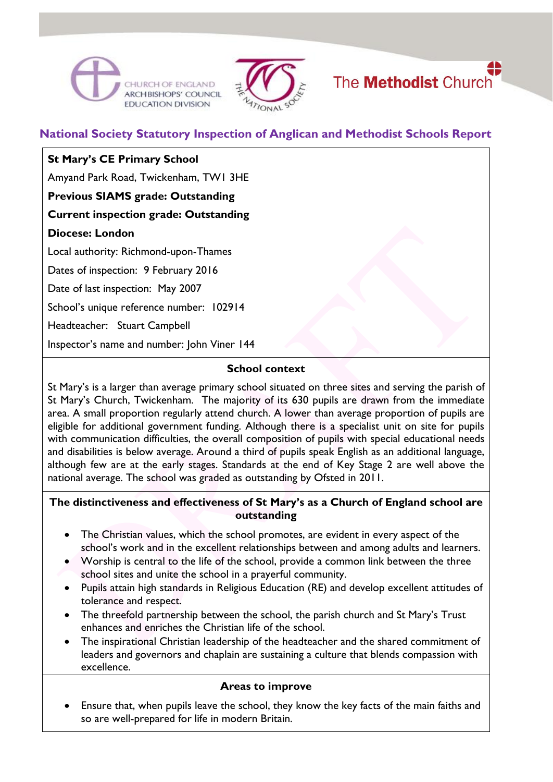





# **National Society Statutory Inspection of Anglican and Methodist Schools Report**

## **St Mary's CE Primary School**

Amyand Park Road, Twickenham, TW1 3HE

**Previous SIAMS grade: Outstanding**

**Current inspection grade: Outstanding**

#### **Diocese: London**

Local authority: Richmond-upon-Thames

Dates of inspection: 9 February 2016

Date of last inspection: May 2007

School's unique reference number: 102914

Headteacher: Stuart Campbell

Inspector's name and number: John Viner 144

## **School context**

St Mary's is a larger than average primary school situated on three sites and serving the parish of St Mary's Church, Twickenham. The majority of its 630 pupils are drawn from the immediate area. A small proportion regularly attend church. A lower than average proportion of pupils are eligible for additional government funding. Although there is a specialist unit on site for pupils with communication difficulties, the overall composition of pupils with special educational needs and disabilities is below average. Around a third of pupils speak English as an additional language, although few are at the early stages. Standards at the end of Key Stage 2 are well above the national average. The school was graded as outstanding by Ofsted in 2011.

#### **The distinctiveness and effectiveness of St Mary's as a Church of England school are outstanding**

- The Christian values, which the school promotes, are evident in every aspect of the school's work and in the excellent relationships between and among adults and learners.
- Worship is central to the life of the school, provide a common link between the three school sites and unite the school in a prayerful community.
- Pupils attain high standards in Religious Education (RE) and develop excellent attitudes of tolerance and respect.
- The threefold partnership between the school, the parish church and St Mary's Trust enhances and enriches the Christian life of the school.
- The inspirational Christian leadership of the headteacher and the shared commitment of leaders and governors and chaplain are sustaining a culture that blends compassion with excellence.

#### **Areas to improve**

 Ensure that, when pupils leave the school, they know the key facts of the main faiths and so are well-prepared for life in modern Britain.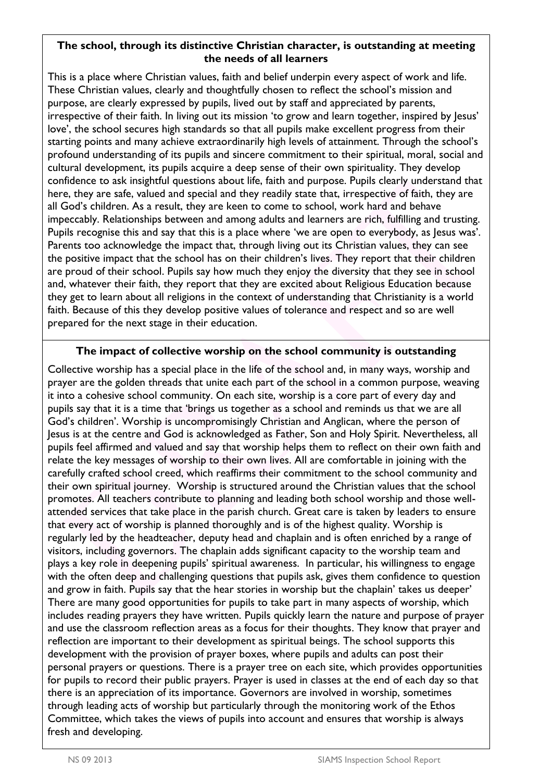#### **The school, through its distinctive Christian character, is outstanding at meeting the needs of all learners**

This is a place where Christian values, faith and belief underpin every aspect of work and life. These Christian values, clearly and thoughtfully chosen to reflect the school's mission and purpose, are clearly expressed by pupils, lived out by staff and appreciated by parents, irrespective of their faith. In living out its mission 'to grow and learn together, inspired by Jesus' love', the school secures high standards so that all pupils make excellent progress from their starting points and many achieve extraordinarily high levels of attainment. Through the school's profound understanding of its pupils and sincere commitment to their spiritual, moral, social and cultural development, its pupils acquire a deep sense of their own spirituality. They develop confidence to ask insightful questions about life, faith and purpose. Pupils clearly understand that here, they are safe, valued and special and they readily state that, irrespective of faith, they are all God's children. As a result, they are keen to come to school, work hard and behave impeccably. Relationships between and among adults and learners are rich, fulfilling and trusting. Pupils recognise this and say that this is a place where 'we are open to everybody, as Jesus was'. Parents too acknowledge the impact that, through living out its Christian values, they can see the positive impact that the school has on their children's lives. They report that their children are proud of their school. Pupils say how much they enjoy the diversity that they see in school and, whatever their faith, they report that they are excited about Religious Education because they get to learn about all religions in the context of understanding that Christianity is a world faith. Because of this they develop positive values of tolerance and respect and so are well prepared for the next stage in their education.

## **The impact of collective worship on the school community is outstanding**

Collective worship has a special place in the life of the school and, in many ways, worship and prayer are the golden threads that unite each part of the school in a common purpose, weaving it into a cohesive school community. On each site, worship is a core part of every day and pupils say that it is a time that 'brings us together as a school and reminds us that we are all God's children'. Worship is uncompromisingly Christian and Anglican, where the person of Jesus is at the centre and God is acknowledged as Father, Son and Holy Spirit. Nevertheless, all pupils feel affirmed and valued and say that worship helps them to reflect on their own faith and relate the key messages of worship to their own lives. All are comfortable in joining with the carefully crafted school creed, which reaffirms their commitment to the school community and their own spiritual journey. Worship is structured around the Christian values that the school promotes. All teachers contribute to planning and leading both school worship and those wellattended services that take place in the parish church. Great care is taken by leaders to ensure that every act of worship is planned thoroughly and is of the highest quality. Worship is regularly led by the headteacher, deputy head and chaplain and is often enriched by a range of visitors, including governors. The chaplain adds significant capacity to the worship team and plays a key role in deepening pupils' spiritual awareness. In particular, his willingness to engage with the often deep and challenging questions that pupils ask, gives them confidence to question and grow in faith. Pupils say that the hear stories in worship but the chaplain' takes us deeper' There are many good opportunities for pupils to take part in many aspects of worship, which includes reading prayers they have written. Pupils quickly learn the nature and purpose of prayer and use the classroom reflection areas as a focus for their thoughts. They know that prayer and reflection are important to their development as spiritual beings. The school supports this development with the provision of prayer boxes, where pupils and adults can post their personal prayers or questions. There is a prayer tree on each site, which provides opportunities for pupils to record their public prayers. Prayer is used in classes at the end of each day so that there is an appreciation of its importance. Governors are involved in worship, sometimes through leading acts of worship but particularly through the monitoring work of the Ethos Committee, which takes the views of pupils into account and ensures that worship is always fresh and developing.